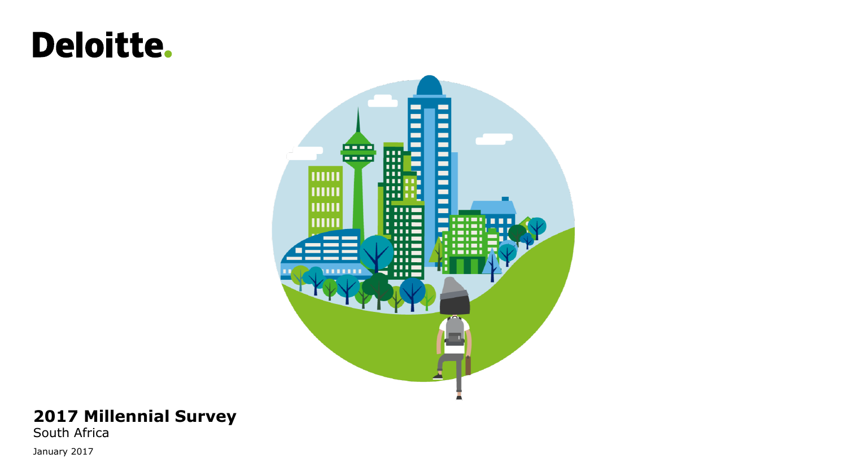# **Deloitte.**



#### **2017 Millennial Survey**

South Africa January 2017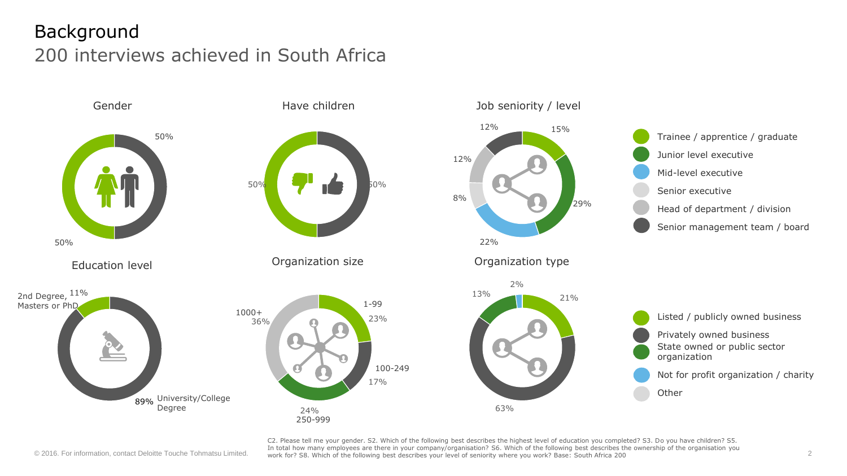# Background 200 interviews achieved in South Africa



© 2016. For information, contact Deloitte Touche Tohmatsu Limited. 2 work for? S8. Which of the following best describes your level of seniority where you work? Base: South Africa 200 C2. Please tell me your gender. S2. Which of the following best describes the highest level of education you completed? S3. Do you have children? S5. In total how many employees are there in your company/organisation? S6. Which of the following best describes the ownership of the organisation you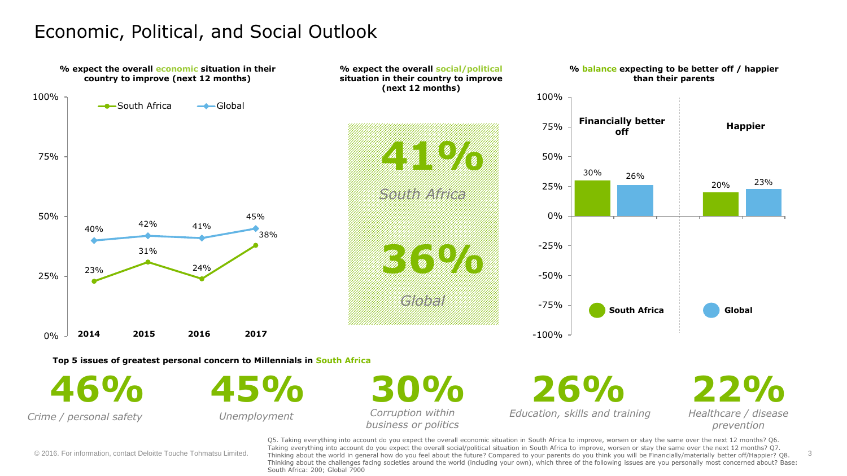### Economic, Political, and Social Outlook



© 2016. For information, contact Deloitte Touche Tohmatsu Limited. Thinking about the world in general how do you feel about the future? Compared to your parents do you think you will be Financially/materially better off/H Q5. Taking everything into account do you expect the overall economic situation in South Africa to improve, worsen or stay the same over the next 12 months? Q6. Taking everything into account do you expect the overall social/political situation in South Africa to improve, worsen or stay the same over the next 12 months? Q7. Thinking about the challenges facing societies around the world (including your own), which three of the following issues are you personally most concerned about? Base: South Africa: 200; Global 7900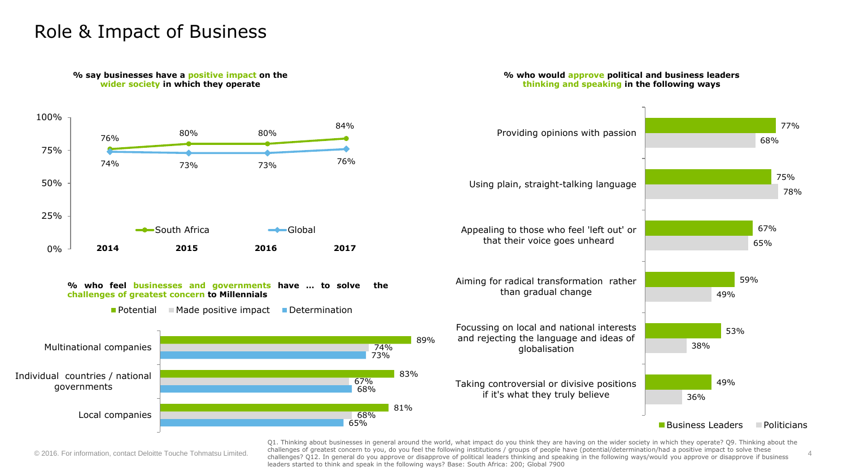#### Role & Impact of Business

**% say businesses have a positive impact on the** 



Q1. Thinking about businesses in general around the world, what impact do you think they are having on the wider society in which they operate? Q9. Thinking about the challenges of greatest concern to you, do you feel the following institutions / groups of people have (potential/determination/had a positive impact to solve these © 2016. For information, contact Deloitte Touche Tohmatsu Limited. The challenges? Q12. In general do you approve or disapprove of political leaders thinking and speaking in the following ways/would you approve or disappro leaders started to think and speak in the following ways? Base: South Africa: 200; Global 7900

**% who would approve political and business leaders**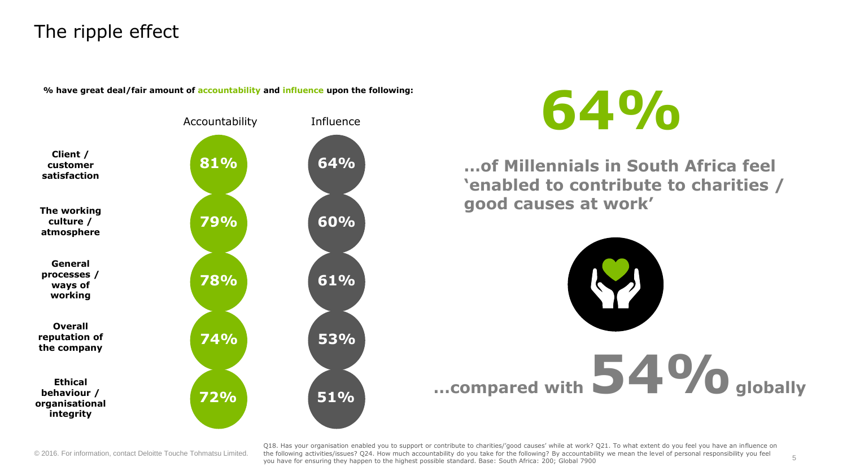# The ripple effect

**% have great deal/fair amount of accountability and influence upon the following:**





**…of Millennials in South Africa feel 'enabled to contribute to charities / good causes at work'**



© 2016. For information, contact Deloitte Touche Tohmatsu Limited. the following activities/issues? Q24. How much accountability do you take for the following? By accountability we mean the level of personal responsibility Q18. Has your organisation enabled you to support or contribute to charities/'good causes' while at work? Q21. To what extent do you feel you have an influence on you have for ensuring they happen to the highest possible standard. Base: South Africa: 200; Global 7900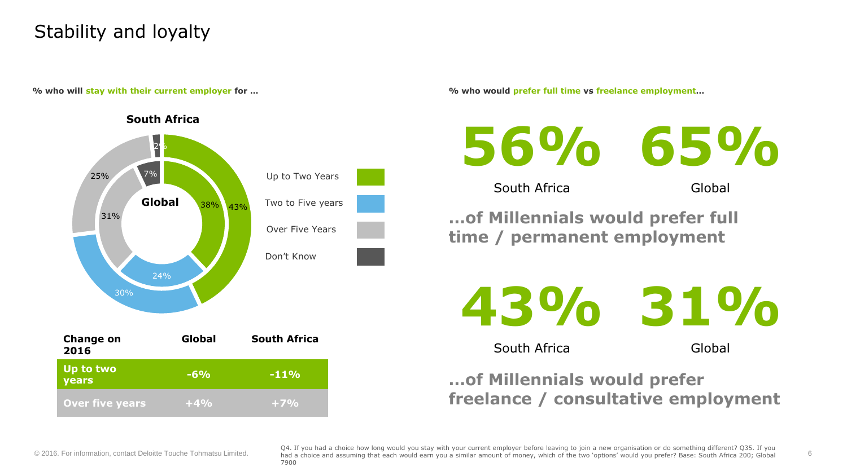# Stability and loyalty



**% who will stay with their current employer for … % who would prefer full time vs freelance employment…**



South Africa

Global

**…of Millennials would prefer full time / permanent employment**

**43% 31%**

South Africa

Global

#### **…of Millennials would prefer freelance / consultative employment**

© 2016. For information, contact Deloitte Touche Tohmatsu Limited. Thad a choice and assuming that each would earn you a similar amount of money, which of the two 'options' would you prefer? Base: South Africa 200; Global Q4. If you had a choice how long would you stay with your current employer before leaving to join a new organisation or do something different? Q35. If you 7900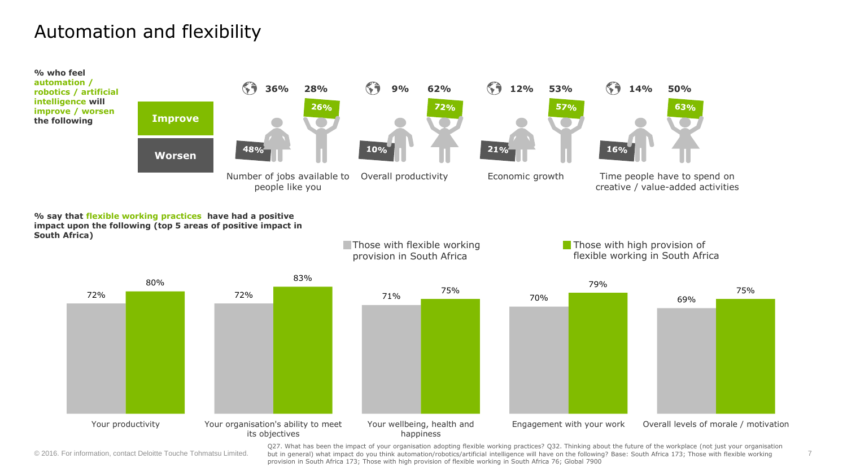### Automation and flexibility



**% say that flexible working practices have had a positive impact upon the following (top 5 areas of positive impact in South Africa)**



**Those with flexible working** 

© 2016. For information, contact Deloitte Touche Tohmatsu Limited.

Q27. What has been the impact of your organisation adopting flexible working practices? Q32. Thinking about the future of the workplace (not just your organisation but in general) what impact do you think automation/robotics/artificial intelligence will have on the following? Base: South Africa 173; Those with flexible working provision in South Africa 173; Those with high provision of flexible working in South Africa 76; Global 7900

**Those with high provision of** 

7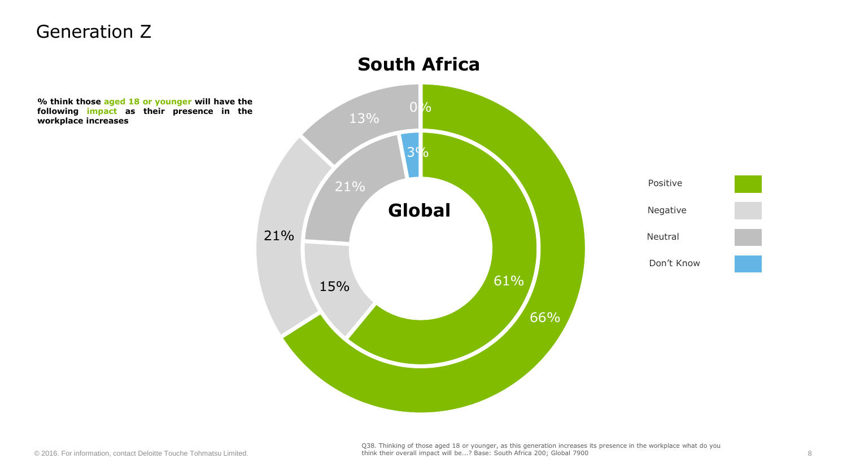#### Generation Z

**% think those aged 18 or younger will have the following impact as their presence in workplace increases**

# 15% 61% 3% 66% 21% 13% **the** 0 % Positive Negative Neutral Don't Know **Global South Africa**